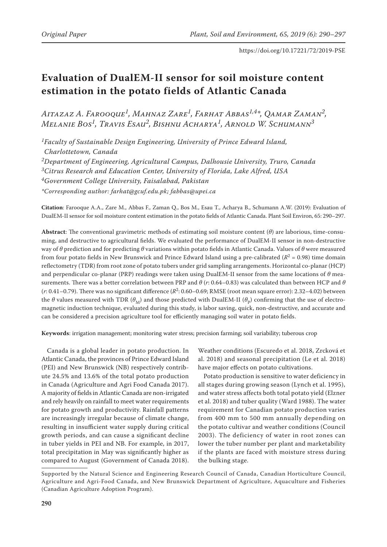# **Evaluation of DualEM-II sensor for soil moisture content estimation in the potato fields of Atlantic Canada**

*Aitazaz A. Farooque1, Mahnaz Zare1, Farhat Abbas1,4\*, Qamar Zaman2, Melanie Bos1, Travis Esau2, Bishnu Acharya1, Arnold W. Schumann3*

*1Faculty of Sustainable Design Engineering, University of Prince Edward Island, Charlottetown, Canada*

*2Department of Engineering, Agricultural Campus, Dalhousie University, Truro, Canada*

*3Citrus Research and Education Center, University of Florida, Lake Alfred, USA*

*4Government College University, Faisalabad, Pakistan*

*\*Corresponding author: farhat@gcuf.edu.pk; fabbas@upei.ca*

**Citation**: Farooque A.A., Zare M., Abbas F., Zaman Q., Bos M., Esau T., Acharya B., Schumann A.W. (2019): Evaluation of DualEM-II sensor for soil moisture content estimation in the potato fields of Atlantic Canada. Plant Soil Environ, 65: 290–297.

**Abstract**: The conventional gravimetric methods of estimating soil moisture content (*θ*) are laborious, time-consuming, and destructive to agricultural fields. We evaluated the performance of DualEM-II sensor in non-destructive way of *θ* prediction and for predicting *θ* variations within potato fields in Atlantic Canada. Values of *θ* were measured from four potato fields in New Brunswick and Prince Edward Island using a pre-calibrated ( $R^2 = 0.98$ ) time domain reflectometry (TDR) from root zone of potato tubers under grid sampling arrangements. Horizontal co-planar (HCP) and perpendicular co-planar (PRP) readings were taken using DualEM-II sensor from the same locations of *θ* measurements. There was a better correlation between PRP and *θ* (*r*: 0.64–0.83) was calculated than between HCP and *θ* (*r*: 0.41–0.79). There was no significant difference (*R*2: 0.60–0.69; RMSE (root mean square error): 2.32–4.02) between the  $\theta$  values measured with TDR ( $\theta_M$ ) and those predicted with DualEM-II ( $\theta_p$ ) confirming that the use of electromagnetic induction technique, evaluated during this study, is labor saving, quick, non-destructive, and accurate and can be considered a precision agriculture tool for efficiently managing soil water in potato fields.

**Keywords**: irrigation management; monitoring water stress; precision farming; soil variability; tuberous crop

Canada is a global leader in potato production. In Atlantic Canada, the provinces of Prince Edward Island (PEI) and New Brunswick (NB) respectively contribute 24.5% and 13.6% of the total potato production in Canada (Agriculture and Agri Food Canada 2017). A majority of fields in Atlantic Canada are non-irrigated and rely heavily on rainfall to meet water requirements for potato growth and productivity. Rainfall patterns are increasingly irregular because of climate change, resulting in insufficient water supply during critical growth periods, and can cause a significant decline in tuber yields in PEI and NB. For example, in 2017, total precipitation in May was significantly higher as compared to August (Government of Canada 2018).

Weather conditions (Escuredo et al. 2018, Zrcková et al. 2018) and seasonal precipitation (Le et al. 2018) have major effects on potato cultivations.

Potato production is sensitive to water deficiency in all stages during growing season (Lynch et al. 1995), and water stress affects both total potato yield (Elzner et al. 2018) and tuber quality (Ward 1988). The water requirement for Canadian potato production varies from 400 mm to 500 mm annually depending on the potato cultivar and weather conditions (Council 2003). The deficiency of water in root zones can lower the tuber number per plant and marketability if the plants are faced with moisture stress during the bulking stage.

Supported by the Natural Science and Engineering Research Council of Canada, Canadian Horticulture Council, Agriculture and Agri-Food Canada, and New Brunswick Department of Agriculture, Aquaculture and Fisheries (Canadian Agriculture Adoption Program).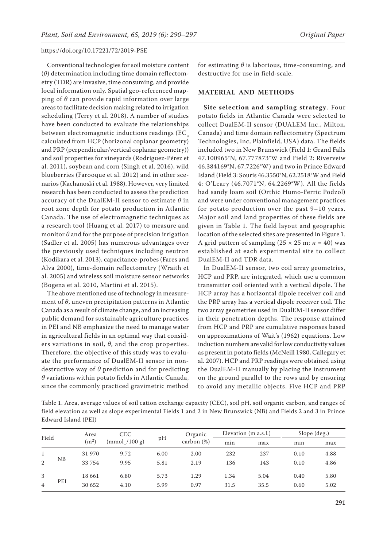Conventional technologies for soil moisture content (*θ*) determination including time domain reflectometry (TDR) are invasive, time consuming, and provide local information only. Spatial geo-referenced mapping of *θ* can provide rapid information over large areas to facilitate decision making related to irrigation scheduling (Terry et al. 2018). A number of studies have been conducted to evaluate the relationships between electromagnetic inductions readings  $(EC_{a})$ calculated from HCP (horizonal coplanar geometry) and PRP (perpendicular/vertical coplanar geometry)) and soil properties for vineyards (Rodríguez-Pérez et al. 2011), soybean and corn (Singh et al. 2016), wild blueberries (Farooque et al. 2012) and in other scenarios (Kachanoski et al. 1988). However, very limited research has been conducted to assess the prediction accuracy of the DualEM-II sensor to estimate *θ* in root zone depth for potato production in Atlantic Canada. The use of electromagnetic techniques as a research tool (Huang et al. 2017) to measure and monitor *θ* and for the purpose of precision irrigation (Sadler et al. 2005) has numerous advantages over the previously used techniques including neutron (Kodikara et al. 2013), capacitance-probes (Fares and Alva 2000), time-domain reflectometry (Wraith et al. 2005) and wireless soil moisture sensor networks (Bogena et al. 2010, Martini et al. 2015).

The above mentioned use of technology in measurement of *θ*, uneven precipitation patterns in Atlantic Canada as a result of climate change, and an increasing public demand for sustainable agriculture practices in PEI and NB emphasize the need to manage water in agricultural fields in an optimal way that considers variations in soil, *θ*, and the crop properties. Therefore, the objective of this study was to evaluate the performance of DualEM-II sensor in nondestructive way of *θ* prediction and for predicting *θ* variations within potato fields in Atlantic Canada, since the commonly practiced gravimetric method

for estimating *θ* is laborious, time-consuming, and destructive for use in field-scale.

#### **MATERIAL AND METHODS**

**Site selection and sampling strategy**. Four potato fields in Atlantic Canada were selected to collect DualEM-II sensor (DUALEM Inc., Milton, Canada) and time domain reflectometry (Spectrum Technologies, Inc, Plainfield, USA) data. The fields included two in New Brunswick (Field 1: Grand Falls 47.100965°N, 67.777873°W and Field 2: Riverveiw 46.384169°N, 67.7226°W) and two in Prince Edward Island (Field 3: Souris 46.3550°N, 62.2518°W and Field 4: O'Leary (46.7071°N, 64.2269°W). All the fields had sandy loam soil (Orthic Humo-Ferric Podzol) and were under conventional management practices for potato production over the past 9–10 years. Major soil and land properties of these fields are given in Table 1. The field layout and geographic location of the selected sites are presented in Figure 1. A grid pattern of sampling  $(25 \times 25 \text{ m}; n = 40)$  was established at each experimental site to collect DualEM-II and TDR data.

In DualEM-II sensor, two coil array geometries, HCP and PRP, are integrated, which use a common transmitter coil oriented with a vertical dipole. The HCP array has a horizontal dipole receiver coil and the PRP array has a vertical dipole receiver coil. The two array geometries used in DualEM-II sensor differ in their penetration depths. The response attained from HCP and PRP are cumulative responses based on approximations of Wait's (1962) equations. Low induction numbers are valid for low conductivity values as present in potato fields (McNeill 1980, Callegary et al. 2007). HCP and PRP readings were obtained using the DualEM-II manually by placing the instrument on the ground parallel to the rows and by ensuring to avoid any metallic objects. Five HCP and PRP

Table 1. Area, average values of soil cation exchange capacity (CEC), soil pH, soil organic carbon, and ranges of field elevation as well as slope experimental Fields 1 and 2 in New Brunswick (NB) and Fields 2 and 3 in Prince Edward Island (PEI)

| Field               |     | Area              | <b>CEC</b>   |              | Organic       | Elevation (m a.s.l.) |              | Slope (deg.) |              |
|---------------------|-----|-------------------|--------------|--------------|---------------|----------------------|--------------|--------------|--------------|
|                     |     | (m <sup>2</sup> ) | (mmol/100 g) | pH           | carbon $(\%)$ | min                  | max          | min          | max          |
| $\overline{2}$      | NB  | 31 970<br>33 754  | 9.72<br>9.95 | 6.00<br>5.81 | 2.00<br>2.19  | 232<br>136           | 237<br>143   | 0.10<br>0.10 | 4.88<br>4.86 |
| 3<br>$\overline{4}$ | PEI | 18 661<br>30 652  | 6.80<br>4.10 | 5.73<br>5.99 | 1.29<br>0.97  | 1.34<br>31.5         | 5.04<br>35.5 | 0.40<br>0.60 | 5.80<br>5.02 |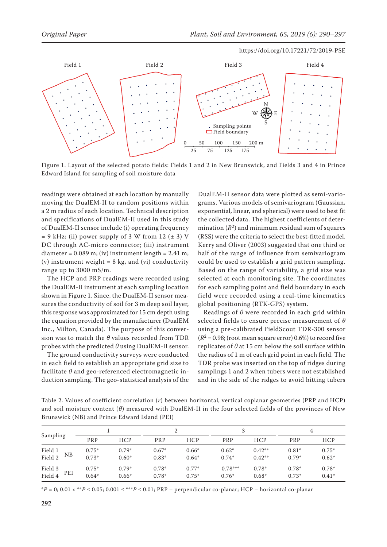

Figure 1. Layout of the selected potato fields: Fields 1 and 2 in New Brunswick, and Fields 3 and 4 in Prince Edward Island for sampling of soil moisture data

readings were obtained at each location by manually moving the DualEM-II to random positions within a 2 m radius of each location. Technical description and specifications of DualEM-II used in this study of DualEM-II sensor include (i) operating frequency  $= 9$  kHz; (ii) power supply of 3 W from 12 ( $\pm$  3) V DC through AC-micro connector; (iii) instrument diameter =  $0.089$  m; (iv) instrument length =  $2.41$  m; (v) instrument weight =  $8 \text{ kg}$ , and (vi) conductivity range up to 3000 mS/m.

The HCP and PRP readings were recorded using the DualEM-II instrument at each sampling location shown in Figure 1. Since, the DualEM-II sensor measures the conductivity of soil for 3 m deep soil layer, this response was approximated for 15 cm depth using the equation provided by the manufacturer (DualEM Inc., Milton, Canada). The purpose of this conversion was to match the *θ* values recorded from TDR probes with the predicted *θ* using DualEM-II sensor.

The ground conductivity surveys were conducted in each field to establish an appropriate grid size to facilitate *θ* and geo-referenced electromagnetic induction sampling. The geo-statistical analysis of the

DualEM-II sensor data were plotted as semi-variograms. Various models of semivariogram (Gaussian, exponential, linear, and spherical) were used to best fit the collected data. The highest coefficients of determination  $(R^2)$  and minimum residual sum of squares (RSS) were the criteria to select the best-fitted model. Kerry and Oliver (2003) suggested that one third or half of the range of influence from semivariogram could be used to establish a grid pattern sampling. Based on the range of variability, a grid size was selected at each monitoring site. The coordinates for each sampling point and field boundary in each field were recorded using a real-time kinematics global positioning (RTK-GPS) system.

Readings of *θ* were recorded in each grid within selected fields to ensure precise measurement of *θ* using a pre-calibrated FieldScout TDR-300 sensor  $(R^2 = 0.98$ ; (root mean square error) 0.6%) to record five replicates of *θ* at 15 cm below the soil surface within the radius of 1 m of each grid point in each field. The TDR probe was inserted on the top of ridges during samplings 1 and 2 when tubers were not established and in the side of the ridges to avoid hitting tubers

Table 2. Values of coefficient correlation (*r*) between horizontal, vertical coplanar geometries (PRP and HCP) and soil moisture content (*θ*) measured with DualEM-II in the four selected fields of the provinces of New Brunswick (NB) and Prince Edward Island (PEI)

|                           |                    |                    |                    |                    |                      |                      | 4                  |                    |
|---------------------------|--------------------|--------------------|--------------------|--------------------|----------------------|----------------------|--------------------|--------------------|
| Sampling                  | PRP                | <b>HCP</b>         | PRP                | <b>HCP</b>         | PRP                  | <b>HCP</b>           | PRP                | <b>HCP</b>         |
| Field 1<br>NΒ<br>Field 2  | $0.75*$<br>$0.73*$ | $0.79*$<br>$0.60*$ | $0.67*$<br>$0.83*$ | $0.66*$<br>$0.64*$ | $0.62*$<br>$0.74*$   | $0.42**$<br>$0.42**$ | $0.81*$<br>$0.79*$ | $0.75*$<br>$0.62*$ |
| Field 3<br>PEI<br>Field 4 | $0.75*$<br>$0.64*$ | $0.79*$<br>$0.66*$ | $0.78*$<br>$0.78*$ | $0.77*$<br>$0.75*$ | $0.78***$<br>$0.76*$ | $0.78*$<br>$0.68*$   | $0.78*$<br>$0.73*$ | $0.78*$<br>$0.41*$ |

\**P* = 0; 0.01 < \*\**P* ≤ 0.05; 0.001 ≤ \*\*\**P* ≤ 0.01; PRP – perpendicular co-planar; HCP – horizontal co-planar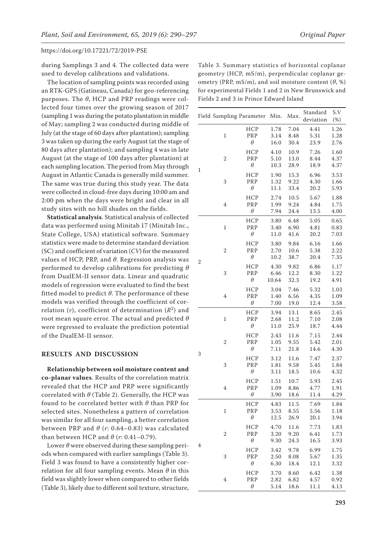during Samplings 3 and 4. The collected data were used to develop calibrations and validations.

The location of sampling points was recorded using an RTK-GPS (Gatineau, Canada) for geo-referencing purposes. The *θ*, HCP and PRP readings were collected four times over the growing season of 2017 (sampling 1 was during the potato plantation in middle of May; sampling 2 was conducted during middle of July (at the stage of 60 days after plantation); sampling 3 was taken up during the early August (at the stage of 80 days after plantation); and sampling 4 was in late August (at the stage of 100 days after plantation) at each sampling location. The period from May through August in Atlantic Canada is generally mild summer. The same was true during this study year. The data were collected in cloud-free days during 10:00 am and 2:00 pm when the days were bright and clear in all study sites with no hill shades on the fields.

**Statistical analysis**. Statistical analysis of collected data was performed using Minitab 17 (Minitab Inc., State College, USA) statistical software. Summary statistics were made to determine standard deviation (SC) and coefficient of variation (*CV*) for the measured values of HCP, PRP, and *θ*. Regression analysis was performed to develop calibrations for predicting *θ* from DualEM-II sensor data. Linear and quadratic models of regression were evaluated to find the best fitted model to predict *θ*. The performance of these models was verified through the coefficient of correlation (*r*), coefficient of determination (*R*2) and root mean square error. The actual and predicted *θ* were regressed to evaluate the prediction potential of the DualEM-II sensor.

## **RESULTS AND DISCUSSION**

**Relationship between soil moisture content and co-planar values**. Results of the correlation matrix revealed that the HCP and PRP were significantly correlated with *θ* (Table 2). Generally, the HCP was found to be correlated better with *θ* than PRP for selected sites. Nonetheless a pattern of correlation was similar for all four sampling, a better correlation between PRP and  $\theta$  ( $r$ : 0.64–0.83) was calculated than between HCP and  $\theta$  ( $r$ : 0.41–0.79).

Lower *θ* were observed during these sampling periods when compared with earlier samplings (Table 3). Field 3 was found to have a consistently higher correlation for all four sampling events. Mean *θ* in this field was slightly lower when compared to other fields (Table 3), likely due to different soil texture, structure,

Table 3. Summary statistics of horizontal coplanar geometry (HCP, mS/m), perpendicular coplanar geometry (PRP, mS/m), and soil moisture content (*θ*, %) for experimental Fields 1 and 2 in New Brunswick and Fields 2 and 3 in Prince Edward Island

|   |                | Field Sampling Parameter Min. |       | Max. | Standard  | S.V    |
|---|----------------|-------------------------------|-------|------|-----------|--------|
|   |                |                               |       |      | deviation | $(\%)$ |
|   |                | HCP                           | 1.78  | 7.04 | 4.41      | 1.26   |
|   | $\,1\,$        | PRP                           | 3.14  | 8.48 | 5.31      | 1.28   |
|   |                | θ                             | 16.0  | 30.4 | 23.9      | 2.76   |
|   |                | HCP                           | 4.10  | 10.9 | 7.26      | 1.60   |
|   | $\overline{c}$ | PRP                           | 5.10  | 13.0 | 8.44      | 4.37   |
| 1 |                | $\theta$                      | 10.3  | 28.9 | 18.9      | 4.37   |
|   |                | HCP                           | 1.90  | 15.3 | 6.96      | 3.53   |
|   | 3              | PRP                           | 1.32  | 9.22 | 4.30      | 1.66   |
|   |                | $\theta$                      | 11.1  | 33.4 | 20.2      | 5.93   |
|   |                | <b>HCP</b>                    | 2.74  | 10.5 | 5.67      | 1.88   |
|   | $\overline{4}$ | PRP                           | 1.99  | 9.24 | 4.84      | 1.75   |
|   |                | $\theta$                      | 7.94  | 24.4 | 13.5      | 4.00   |
|   |                | <b>HCP</b>                    | 3.80  | 6.48 | 5.05      | 0.65   |
|   | $\,1\,$        | PRP                           | 3.40  | 6.90 | 4.81      | 0.83   |
|   |                | $\theta$                      | 11.0  | 41.6 | 20.2      | 7.03   |
|   |                | HCP                           | 3.80  | 9.84 | 6.16      | 1.66   |
|   | $\overline{c}$ | PRP                           | 2.70  | 10.6 | 5.38      | 2.22   |
| 2 |                | $\theta$                      | 10.2  | 38.7 | 20.4      | 7.35   |
|   |                | <b>HCP</b>                    | 4.30  | 9.82 | 6.86      | 1.17   |
|   | 3              | PRP                           | 6.46  | 12.2 | 8.30      | 1.22   |
|   |                | θ                             | 10.64 | 32.3 | 19.2      | 4.91   |
|   |                | HCP                           | 3.04  | 7.46 | 5.32      | 1.03   |
|   | $\overline{4}$ | PRP                           | 1.40  | 6.56 | 4.35      | 1.09   |
|   |                | θ                             | 7.00  | 19.0 | 12.4      | 3.58   |
|   | $\,1$          | HCP                           | 3.94  | 13.1 | 8.65      | 2.45   |
|   |                | PRP                           | 2.68  | 11.2 | 7.10      | 2.08   |
|   |                | θ                             | 11.0  | 25.9 | 18.7      | 4.44   |
|   |                | HCP                           | 2.43  | 11.6 | 7.15      | 2.44   |
|   | $\overline{c}$ | PRP                           | 1.05  | 9.55 | 5.42      | 2.01   |
| 3 |                | θ                             | 7.11  | 21.8 | 14.6      | 4.30   |
|   |                | HCP                           | 3.12  | 11.6 | 7.47      | 2.37   |
|   | 3              | PRP                           | 1.81  | 9.58 | 5.45      | 1.84   |
|   |                | θ                             | 3.11  | 18.5 | 10.6      | 4.32   |
|   |                | <b>HCP</b>                    | 1.51  | 10.7 | 5.93      | 2.45   |
|   | 4              | PRP                           | 1.09  | 8.86 | 4.77      | 1.91   |
|   |                | $\theta$                      | 3.90  | 18.6 | 11.4      | 4.29   |
|   |                | <b>HCP</b>                    | 4.83  | 11.5 | 7.69      | 1.84   |
|   | $\,1$          | PRP                           | 3.53  | 8.55 | 5.56      | 1.18   |
|   |                | $\theta$                      | 12.5  | 26.9 | 20.1      | 3.94   |
|   |                | <b>HCP</b>                    | 4.70  | 11.6 | 7.73      | 1.83   |
|   | $\overline{c}$ | PRP                           | 3.20  | 9.20 | 6.41      | 1.73   |
| 4 |                | $\theta$                      | 9.30  | 24.3 | 16.5      | 3.93   |
|   |                | <b>HCP</b>                    | 3.42  | 9.78 | 6.99      | 1.75   |
|   | 3              | PRP                           | 2.50  | 8.08 | 5.67      | 1.35   |
|   |                | $\theta$                      | 6.30  | 18.4 | 12.1      | 3.32   |
|   |                | <b>HCP</b>                    | 3.70  | 8.60 | 6.42      | 1.38   |
|   | 4              | PRP                           | 2.82  | 6.82 | 4.57      | 0.92   |
|   |                | θ                             | 5.14  | 18.6 | 11.1      | 4.13   |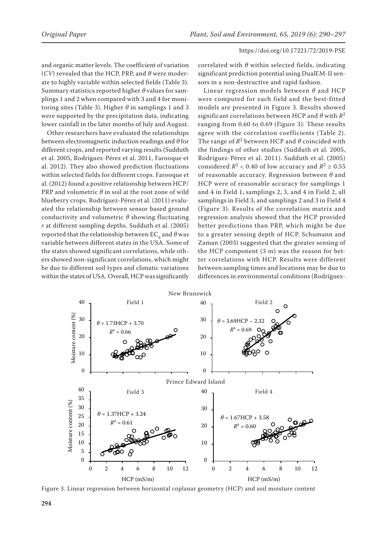and organic matter levels. The coefficient of variation (*CV*) revealed that the HCP, PRP, and *θ* were moderate to highly variable within selected fields (Table 3). Summary statistics reported higher *θ* values for samplings 1 and 2 when compared with 3 and 4 for monitoring sites (Table 3). Higher *θ* in samplings 1 and 3 were supported by the precipitation data, indicating lower rainfall in the later months of July and August.

Other researchers have evaluated the relationships between electromagnetic induction readings and *θ* for different crops, and reported varying results (Sudduth et al. 2005, Rodríguez-Pérez et al. 2011, Farooque et al. 2012). They also showed prediction fluctuations within selected fields for different crops. Farooque et al. (2012) found a positive relationship between HCP/ PRP and volumetric *θ* in soil at the root zone of wild blueberry crops. Rodríguez-Pérez et al. (2011) evaluated the relationship between sensor based ground conductivity and volumetric *θ* showing fluctuating *r* at different sampling depths. Sudduth et al. (2005) reported that the relationship between  $EC_{a}$  and  $\theta$  was variable between different states in the USA. Some of the states showed significant correlations, while others showed non-significant correlations, which might be due to different soil types and climatic variations 40 within the states of USA. Overall, HCP was significantly

correlated with *θ* within selected fields, indicating significant prediction potential using DualEM-II sensors in a non-destructive and rapid fashion.

Linear regression models between *θ* and HCP were computed for each field and the best-fitted models are presented in Figure 3. Results showed significant correlations between HCP and *θ* with *R*<sup>2</sup> ranging from 0.60 to 0.69 (Figure 3). These results agree with the correlation coefficients (Table 2). The range of *R*2 between HCP and *θ* coincided with the findings of other studies (Sudduth et al. 2005, Rodríguez-Pérez et al. 2011). Sudduth et al. (2005) considered  $R^2$  < 0.40 of low accuracy and  $R^2 \ge 0.55$ of reasonable accuracy. Regression between *θ* and HCP were of reasonable accuracy for samplings 1 and 4 in Field 1, samplings 2, 3, and 4 in Field 2, all samplings in Field 3, and samplings 2 and 3 in Field 4 (Figure 3). Results of the correlation matrix and regression analysis showed that the HCP provided better predictions than PRP, which might be due to a greater sensing depth of HCP. Schumann and Zaman (2003) suggested that the greater sensing of the HCP component (3 m) was the reason for better correlations with HCP. Results were different between sampling times and locations may be due to 40 differences in environmental conditions (Rodríguez-



Figure 3. Linear regression between horizontal coplanar geometry (HCP) and soil moisture content 0 0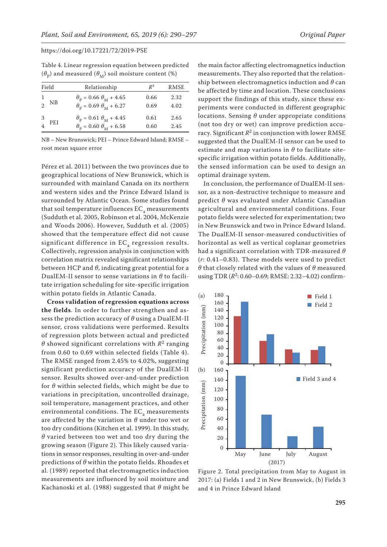Table 4. Linear regression equation between predicted  $(\theta_{\rm p})$  and measured  $(\theta_{\rm M})$  soil moisture content (%)

| Field | Relationship                                  | $R^2$ | RMSE |
|-------|-----------------------------------------------|-------|------|
| ΝB    | $\theta_p = 0.66 \theta_M + 4.65$             | 0.66  | 2.32 |
|       | $\theta_{\rm p} = 0.69 \theta_{\rm M} + 6.27$ | 0.69  | 4.02 |
| 3     | $\theta_{\rm p} = 0.61 \theta_{\rm M} + 4.45$ | 0.61  | 2.65 |
| PEI   | $\theta_{\rm p} = 0.60 \theta_{\rm M} + 6.58$ | 0.60  | 2.45 |

NB – New Brunswick; PEI – Prince Edward Island; RMSE – root mean square error

Pérez et al. 2011) between the two provinces due to geographical locations of New Brunswick, which is surrounded with mainland Canada on its northern and western sides and the Prince Edward Island is surrounded by Atlantic Ocean. Some studies found that soil temperature influences  $EC_a$  measurements (Sudduth et al. 2005, Robinson et al. 2004, McKenzie and Woods 2006). However, Sudduth et al. (2005) showed that the temperature effect did not cause significant difference in  $EC<sub>a</sub>$  regression results. Collectively, regression analysis in conjunction with correlation matrix revealed significant relationships between HCP and *θ*, indicating great potential for a DualEM-II sensor to sense variations in *θ* to facilitate irrigation scheduling for site-specific irrigation within potato fields in Atlantic Canada.

**Cross validation of regression equations across the fields**. In order to further strengthen and assess the prediction accuracy of *θ* using a DualEM-II sensor, cross validations were performed. Results of regression plots between actual and predicted *θ* showed significant correlations with *R*2 ranging from 0.60 to 0.69 within selected fields (Table 4). The RMSE ranged from 2.45% to 4.02%, suggesting significant prediction accuracy of the DualEM-II sensor. Results showed over-and-under prediction for *θ* within selected fields, which might be due to variations in precipitation, uncontrolled drainage, soil temperature, management practices, and other environmental conditions. The  $EC_a$  measurements are affected by the variation in *θ* under too wet or too dry conditions (Kitchen et al. 1999). In this study, *θ* varied between too wet and too dry during the growing season (Figure 2). This likely caused variations in sensor responses, resulting in over-and-under predictions of *θ* within the potato fields. Rhoades et al. (1989) reported that electromagnetics induction measurements are influenced by soil moisture and Kachanoski et al. (1988) suggested that *θ* might be

the main factor affecting electromagnetics induction measurements. They also reported that the relationship between electromagnetics induction and *θ* can be affected by time and location. These conclusions support the findings of this study, since these experiments were conducted in different geographic locations. Sensing *θ* under appropriate conditions (not too dry or wet) can improve prediction accuracy. Significant  $R^2$  in conjunction with lower RMSE suggested that the DualEM-II sensor can be used to estimate and map variations in *θ* to facilitate sitespecific irrigation within potato fields. Additionally, the sensed information can be used to design an optimal drainage system.

In conclusion, the performance of DualEM-II sensor, as a non-destructive technique to measure and predict *θ* was evaluated under Atlantic Canadian agricultural and environmental conditions. Four potato fields were selected for experimentation; two in New Brunswick and two in Prince Edward Island. The DualEM-II sensor-measured conductivities of horizontal as well as vertical coplanar geometries had a significant correlation with TDR-measured *θ* (*r*: 0.41–0.83). These models were used to predict *θ* that closely related with the values of *θ* measured using TDR ( $R^2$ : 0.60–0.69; RMSE: 2.32–4.02) confirm-



Figure 2. Total precipitation from May to August in 2017: (a) Fields 1 and 2 in New Brunswick, (b) Fields 3 and 4 in Prince Edward Island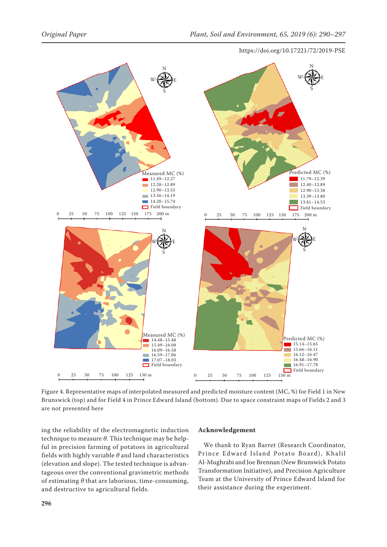

Figure 4. Representative maps of interpolated measured and predicted moisture content (MC, %) for Field 1 in New Brunswick (top) and for Field 4 in Prince Edward Island (bottom). Due to space constraint maps of Fields 2 and 3 are not presented here

ing the reliability of the electromagnetic induction technique to measure *θ*. This technique may be helpful in precision farming of potatoes in agricultural fields with highly variable *θ* and land characteristics (elevation and slope). The tested technique is advantageous over the conventional gravimetric methods of estimating *θ* that are laborious, time-consuming, and destructive to agricultural fields.

## **Acknowledgement**

We thank to Ryan Barret (Research Coordinator, Prince Edward Island Potato Board), Khalil Al-Mughrabi and Joe Brennan (New Brunswick Potato Transformation Initiative), and Precision Agriculture Team at the University of Prince Edward Island for their assistance during the experiment.